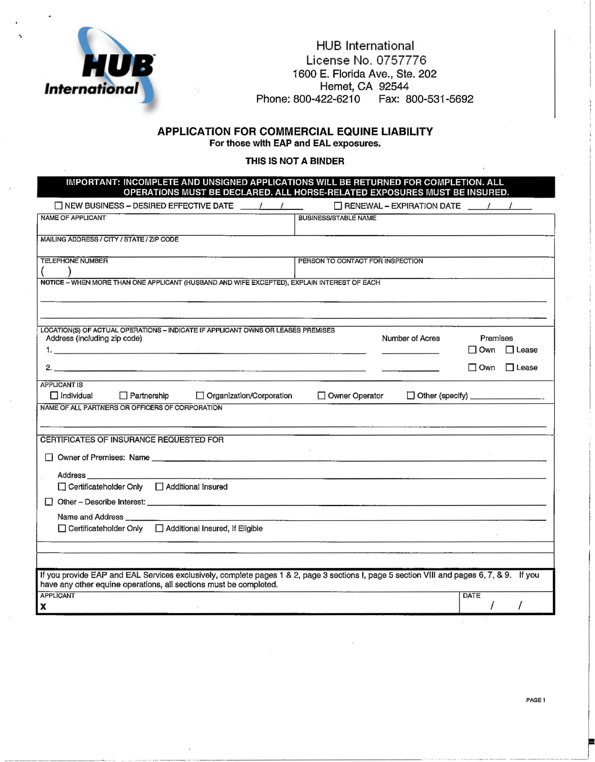

#### HUB International License No. 0757776 1600 E. Florida Ave., Ste. 202 Hemet, CA 92544 Phone: 800-422-6210 Fax: 800-531-5692

# APPLICATION FOR COMMERCIAL EQUINE LIABILITY

For those with EAP and EAL exposures.

#### THIS IS NOT A BINDER

IMPORTANT: INCOMPLETE AND UNSIGNED APPLICATIONS WILL BE RETURNED FOR COMPLETION. ALL OPERATIONS MUST BE DECLARED. ALL HORSE~RELATED EXPOSURES MUST BE INSURED.

| $\Box$ NEW BUSINESS - DESIRED EFFECTIVE DATE $\qquad$                                                                                     |                                                                                                                              | $\Box$ RENEWAL - EXPIRATION DATE $\qquad$ / / |
|-------------------------------------------------------------------------------------------------------------------------------------------|------------------------------------------------------------------------------------------------------------------------------|-----------------------------------------------|
| <b>NAME OF APPLICANT</b>                                                                                                                  | <b>BUSINESS/STABLE NAME</b>                                                                                                  |                                               |
|                                                                                                                                           |                                                                                                                              |                                               |
| MAILING ADDRESS / CITY / STATE / ZIP CODE                                                                                                 |                                                                                                                              |                                               |
| <b>TELEPHONE NUMBER</b>                                                                                                                   | PERSON TO CONTACT FOR INSPECTION                                                                                             |                                               |
|                                                                                                                                           |                                                                                                                              |                                               |
| NOTICE - WHEN MORE THAN ONE APPLICANT (HUSBAND AND WIFE EXCEPTED), EXPLAIN INTEREST OF EACH                                               |                                                                                                                              |                                               |
|                                                                                                                                           |                                                                                                                              |                                               |
|                                                                                                                                           |                                                                                                                              |                                               |
| LOCATION(S) OF ACTUAL OPERATIONS -- INDICATE IF APPLICANT OWNS OR LEASES PREMISES                                                         |                                                                                                                              |                                               |
| Address (including zip code)                                                                                                              | Number of Acres                                                                                                              | Premises                                      |
|                                                                                                                                           |                                                                                                                              | $\Box$ Lease<br>l Own                         |
| <u> 1989 - John Stein, Amerikaansk politiker (* 1908)</u><br>2.                                                                           |                                                                                                                              | $\Box$ Lease<br>$\Box$ Own                    |
| <b>APPLICANT IS</b>                                                                                                                       |                                                                                                                              |                                               |
| $\Box$ Individual<br>$\Box$ Partnership<br>□ Organization/Corporation                                                                     | Owner Operator                                                                                                               | Other (specify) _____________                 |
| NAME OF ALL PARTNERS OR OFFICERS OF CORPORATION                                                                                           |                                                                                                                              |                                               |
|                                                                                                                                           |                                                                                                                              |                                               |
| CERTIFICATES OF INSURANCE REQUESTED FOR                                                                                                   |                                                                                                                              |                                               |
|                                                                                                                                           |                                                                                                                              |                                               |
|                                                                                                                                           |                                                                                                                              |                                               |
| Address                                                                                                                                   |                                                                                                                              |                                               |
| □ Certificateholder Only □ Additional Insured                                                                                             |                                                                                                                              |                                               |
|                                                                                                                                           |                                                                                                                              |                                               |
| Name and Address <b>Community</b> Name and Address <b>Community</b> 2014                                                                  | <u> 1989 - Januar Alemany, mandatan sebagai kecamatan ing kabupaten Sepanjang Kabupaten Sepanjang Kabupaten Sepanjang Ka</u> |                                               |
| □ Certificateholder Only □ Additional Insured, If Eligible                                                                                |                                                                                                                              |                                               |
|                                                                                                                                           |                                                                                                                              |                                               |
|                                                                                                                                           |                                                                                                                              |                                               |
| If you provide EAP and EAL Services exclusively, complete pages 1 & 2, page 3 sections I, page 5 section VIII and pages 6, 7, & 9. If you |                                                                                                                              |                                               |
| have any other equine operations, all sections must be completed.                                                                         |                                                                                                                              |                                               |
| APPLICANT<br>X                                                                                                                            |                                                                                                                              | <b>DATE</b>                                   |
|                                                                                                                                           |                                                                                                                              |                                               |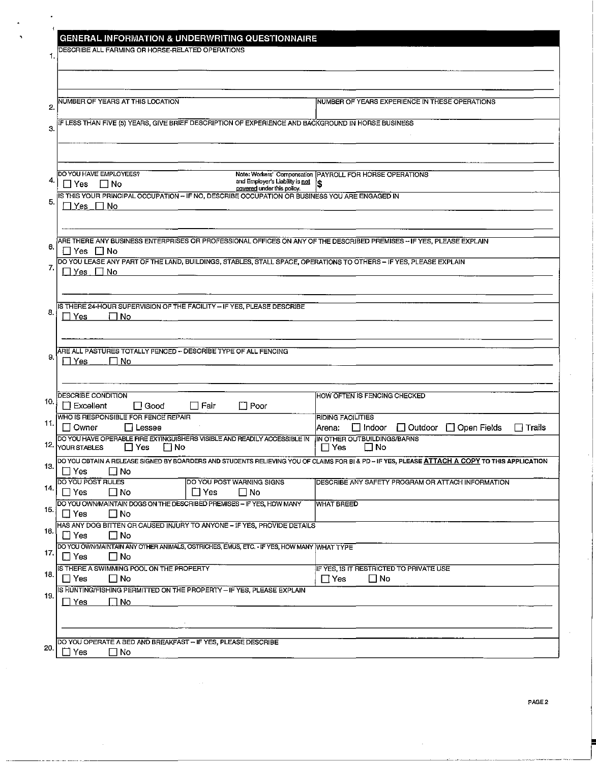| <b>GENERAL INFORMATION &amp; UNDERWRITING QUESTIONNAIRE</b><br><b>DESCRIBE ALL FARMING OR HORSE-RELATED OPERATIONS</b><br>1.                                                                                                                                                         |                                                                                                          |
|--------------------------------------------------------------------------------------------------------------------------------------------------------------------------------------------------------------------------------------------------------------------------------------|----------------------------------------------------------------------------------------------------------|
| NUMBER OF YEARS AT THIS LOCATION<br>2.                                                                                                                                                                                                                                               | NUMBER OF YEARS EXPERIENCE IN THESE OPERATIONS                                                           |
| IF LESS THAN FIVE (5) YEARS, GIVE BRIEF DESCRIPTION OF EXPERIENCE AND BACKGROUND IN HORSE BUSINESS<br>З.                                                                                                                                                                             |                                                                                                          |
| DO YOU HAVE EMPLOYEES?<br>4,<br>and Employer's Liability is not<br>$\Box$ No<br>∏ Yes<br>covered under this policy.<br>IS THIS YOUR PRINCIPAL OCCUPATION - IF NO, DESCRIBE OCCUPATION OR BUSINESS YOU ARE ENGAGED IN<br>5.<br>7Yes ΠNo                                               | Note: Workers' Compensation   PAYROLL FOR HORSE OPERATIONS<br>'S                                         |
| ARE THERE ANY BUSINESS ENTERPRISES OR PROFESSIONAL OFFICES ON ANY OF THE DESCRIBED PREMISES - IF YES, PLEASE EXPLAIN<br>6.<br>□ Yes □ No<br>DO YOU LEASE ANY PART OF THE LAND, BUILDINGS, STABLES, STALL SPACE, OPERATIONS TO OTHERS - IF YES, PLEASE EXPLAIN<br>7.<br>∏ No<br>Yes : |                                                                                                          |
| IS THERE 24-HOUR SUPERVISION OF THE FACILITY - IF YES, PLEASE DESCRIBE<br>8.<br>∣∣No<br>Yes                                                                                                                                                                                          |                                                                                                          |
| ARE ALL PASTURES TOTALLY FENCED - DESCRIBE TYPE OF ALL FENCING<br>9.<br><b>Yes</b><br>ΠNo                                                                                                                                                                                            |                                                                                                          |
| DESCRIBE CONDITION<br>10.<br>$\Box$ Poor<br><b>Excellent</b><br>$\Box$ Good<br>∣ Fair                                                                                                                                                                                                | HOW OFTEN IS FENCING CHECKED                                                                             |
| WHO IS RESPONSIBLE FOR FENCE REPAIR<br>11.<br>∐ Owner<br>∐ Lessee                                                                                                                                                                                                                    | RIDING FACILITIES<br>$\square$ Indoor<br>$\Box$ Outdoor<br>$\Box$ Open Fields<br>$\Box$ Trails<br>Arena: |
| DO YOU HAVE OPERABLE FIRE EXTINGUISHERS VISIBLE AND READILY ACCESSIBLE IN<br>12.<br>I⊟ Yes<br>⊟ No<br>YOUR STABLES                                                                                                                                                                   | IN OTHER OUTBUILDINGS/BARNS<br>$\Box$ No<br>∏ Yes                                                        |
| DO YOU OBTAIN A RELEASE SIGNED BY BOARDERS AND STUDENTS RELIEVING YOU OF CLAIMS FOR BI & PD - IF YES, PLEASE ATTACH A COPY TO THIS APPLICATION<br>13.<br>□ Yes<br>$\square$ No                                                                                                       |                                                                                                          |
| <b>DO YOU POST RULES</b><br>DO YOU POST WARNING SIGNS<br>14.<br>$\Box$ Yes<br>$\square$ No<br>$\Box$ Yes<br>$\square$ No                                                                                                                                                             | DESCRIBE ANY SAFETY PROGRAM OR ATTACH INFORMATION                                                        |
| DO YOU OWN MAINTAIN DOGS ON THE DESCRIBED PREMISES - IF YES, HOW MANY<br>15.<br>$\Box$ Yes<br>$\square$ No                                                                                                                                                                           | <b>WHAT BREED</b>                                                                                        |
| HAS ANY DOG BITTEN OR CAUSED INJURY TO ANYONE - IF YES, PROVIDE DETAILS<br>16.<br>$\square$ No<br>$\Box$ Yes                                                                                                                                                                         |                                                                                                          |
| DO YOU OWN/MAINTAIN ANY OTHER ANIMALS, OSTRICHES, EMUS, ETC. - IF YES, HOW MANY WHAT TYPE<br>17.<br>$\Box$ Yes<br>$\square$ No                                                                                                                                                       |                                                                                                          |
| IS THERE A SWIMMING POOL ON THE PROPERTY<br>18.                                                                                                                                                                                                                                      | IF YES, IS IT RESTRICTED TO PRIVATE USE                                                                  |
| $\Box$ Yes<br>$\square$ No<br>IS HUNTING/FISHING PERMITTED ON THE PROPERTY - IF YES, PLEASE EXPLAIN<br>19.                                                                                                                                                                           | $\Box$ Yes<br>$\Box$ No                                                                                  |
| ∏ No<br>$\Box$ Yes                                                                                                                                                                                                                                                                   |                                                                                                          |
| DO YOU OPERATE A BED AND BREAKFAST - IF YES, PLEASE DESCRIBE                                                                                                                                                                                                                         |                                                                                                          |
| 20.<br>∃ Yes<br>$\square$ No                                                                                                                                                                                                                                                         |                                                                                                          |

ł.

 $\bar{z}$ 

 $\mathbf{r}$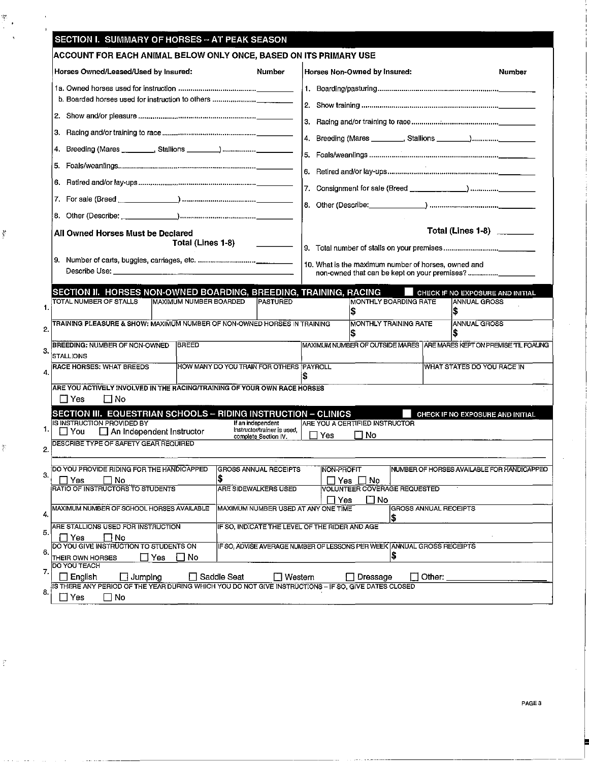| Horses Owned/Leased/Used by Insured:                                                                                                                                                                                                                                                                                                                       |                                          | Number                                              |                                                   | Horses Non-Owned by Insured:                                                  |                                                                         | Number |
|------------------------------------------------------------------------------------------------------------------------------------------------------------------------------------------------------------------------------------------------------------------------------------------------------------------------------------------------------------|------------------------------------------|-----------------------------------------------------|---------------------------------------------------|-------------------------------------------------------------------------------|-------------------------------------------------------------------------|--------|
|                                                                                                                                                                                                                                                                                                                                                            |                                          |                                                     |                                                   |                                                                               |                                                                         |        |
| b. Boarded horses used for instruction to others                                                                                                                                                                                                                                                                                                           |                                          |                                                     |                                                   |                                                                               |                                                                         |        |
|                                                                                                                                                                                                                                                                                                                                                            |                                          |                                                     |                                                   |                                                                               |                                                                         |        |
| З.                                                                                                                                                                                                                                                                                                                                                         |                                          |                                                     |                                                   |                                                                               |                                                                         |        |
| 4.                                                                                                                                                                                                                                                                                                                                                         |                                          |                                                     |                                                   |                                                                               | 4. Breeding (Mares ________, Stallions ________)__________              |        |
| 5.                                                                                                                                                                                                                                                                                                                                                         |                                          |                                                     |                                                   |                                                                               |                                                                         |        |
| 6.                                                                                                                                                                                                                                                                                                                                                         |                                          |                                                     | 6.                                                |                                                                               |                                                                         |        |
|                                                                                                                                                                                                                                                                                                                                                            |                                          |                                                     |                                                   |                                                                               |                                                                         |        |
|                                                                                                                                                                                                                                                                                                                                                            |                                          |                                                     |                                                   |                                                                               |                                                                         |        |
|                                                                                                                                                                                                                                                                                                                                                            |                                          |                                                     |                                                   |                                                                               |                                                                         |        |
| All Owned Horses Must be Declared                                                                                                                                                                                                                                                                                                                          |                                          |                                                     |                                                   |                                                                               | Total (Lines 1-8) ________                                              |        |
|                                                                                                                                                                                                                                                                                                                                                            | Total (Lines 1-8)                        | <u> 1999 - Jan Store, amerikansk politiker</u>      |                                                   |                                                                               |                                                                         |        |
|                                                                                                                                                                                                                                                                                                                                                            |                                          |                                                     |                                                   | 10. What is the maximum number of horses, owned and                           |                                                                         |        |
|                                                                                                                                                                                                                                                                                                                                                            |                                          |                                                     |                                                   |                                                                               |                                                                         |        |
| SECTION II. HORSES NON-OWNED BOARDING, BREEDING, TRAINING, RACING                                                                                                                                                                                                                                                                                          |                                          |                                                     |                                                   |                                                                               | CHECK IF NO EXPOSURE AND INITIAL                                        |        |
| TOTAL NUMBER OF STALLS                                                                                                                                                                                                                                                                                                                                     | MAXIMUM NUMBER BOARDED                   | <b>PASTURED</b>                                     |                                                   | <b>MONTHLY BOARDING RATE</b>                                                  | <b>ANNUAL GROSS</b>                                                     |        |
|                                                                                                                                                                                                                                                                                                                                                            |                                          |                                                     |                                                   | <b>MONTHLY TRAINING RATE</b>                                                  | <b>ANNUAL GROSS</b>                                                     |        |
|                                                                                                                                                                                                                                                                                                                                                            |                                          |                                                     |                                                   |                                                                               |                                                                         |        |
|                                                                                                                                                                                                                                                                                                                                                            |                                          |                                                     |                                                   |                                                                               | S                                                                       |        |
|                                                                                                                                                                                                                                                                                                                                                            | <b>BREED</b>                             |                                                     |                                                   |                                                                               | MAXIMUM NUMBER OF OUTSIDE MARES   ARE MARES KEPT ON PREMISE TIL FOALING |        |
|                                                                                                                                                                                                                                                                                                                                                            | HOW MANY DO YOU TRAIN FOR OTHERS PAYROLL |                                                     |                                                   |                                                                               | WHAT STATES DO YOU RACE IN                                              |        |
|                                                                                                                                                                                                                                                                                                                                                            |                                          |                                                     |                                                   |                                                                               |                                                                         |        |
|                                                                                                                                                                                                                                                                                                                                                            |                                          |                                                     |                                                   |                                                                               |                                                                         |        |
| ΠNo                                                                                                                                                                                                                                                                                                                                                        |                                          |                                                     |                                                   |                                                                               |                                                                         |        |
| TRAINING PLEASURE & SHOW: MAXIMUM NUMBER OF NON-OWNED HORSES IN TRAINING<br><b>BREEDING: NUMBER OF NON-OWNED</b><br><b>STALLIONS</b><br>RACE HORSES: WHAT BREEDS<br>ARE YOU ACTIVELY INVOLVED IN THE RACING/TRAINING OF YOUR OWN RACE HORSES<br>$\Box$ Yes<br>SECTION III. EQUESTRIAN SCHOOLS - RIDING INSTRUCTION - CLINICS<br>IS INSTRUCTION PROVIDED BY |                                          | If an independent                                   |                                                   | ARE YOU A CERTIFIED INSTRUCTOR                                                | CHECK IF NO EXPOSURE AND INITIAL                                        |        |
| $\Box$ You<br>$\Box$ An Independent Instructor                                                                                                                                                                                                                                                                                                             |                                          | Instructor/trainer is used,<br>complete Section IV. | Yes                                               | $\Box$ No                                                                     |                                                                         |        |
| DESCRIBE TYPE OF SAFETY GEAR REQUIRED                                                                                                                                                                                                                                                                                                                      |                                          |                                                     |                                                   |                                                                               |                                                                         |        |
|                                                                                                                                                                                                                                                                                                                                                            |                                          | $\cdot$<br><b>GROSS ANNUAL RECEIPTS</b>             | NON-PROFIT                                        |                                                                               | NUMBER OF HORSES AVAILABLE FOR HANDICAPPED                              |        |
| DO YOU PROVIDE RIDING FOR THE HANDICAPPED<br>Yes<br>– I No                                                                                                                                                                                                                                                                                                 | \$                                       |                                                     | $\Box$ Yes $\Box$                                 | ∐ No                                                                          |                                                                         |        |
| RATIO OF INSTRUCTORS TO STUDENTS                                                                                                                                                                                                                                                                                                                           |                                          | <b>ARE SIDEWALKERS USED</b>                         |                                                   | <b>VOLUNTEER COVERAGE REQUESTED</b><br>⊡ No                                   |                                                                         |        |
|                                                                                                                                                                                                                                                                                                                                                            |                                          |                                                     | $\Box$ Yes<br>MAXIMUM NUMBER USED AT ANY ONE TIME |                                                                               | GROSS ANNUAL RECEIPTS                                                   |        |
|                                                                                                                                                                                                                                                                                                                                                            |                                          |                                                     | IF SO, INDICATE THE LEVEL OF THE RIDER AND AGE    | 1\$                                                                           |                                                                         |        |
| MAXIMUM NUMBER OF SCHOOL HORSES AVAILABLE<br>ARE STALLIONS USED FOR INSTRUCTION<br>1 No<br>_l Yes                                                                                                                                                                                                                                                          |                                          |                                                     |                                                   |                                                                               |                                                                         |        |
| DO YOU GIVE INSTRUCTION TO STUDENTS ON<br>l I Yes<br>THEIR OWN HORSES                                                                                                                                                                                                                                                                                      | ∐ No                                     |                                                     |                                                   | IF SO, ADVISE AVERAGE NUMBER OF LESSONS PER WEEK ANNUAL GROSS RECEIPTS<br> \$ |                                                                         |        |

 $\mathbf{v}$ 

 $\frac{2}{3}$ 

ĝ.

 $\frac{1}{2}$  $\cdot$ 

PAGE 3

-------------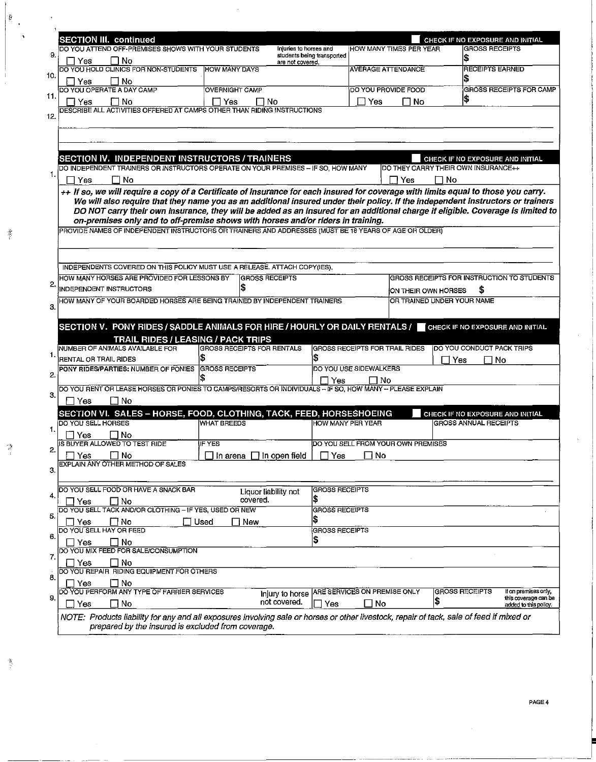|                                                                                                                                                                                                                                                                                                                                                                                   | DO YOU ATTEND OFF-PREMISES SHOWS WITH YOUR STUDENTS | Injuries to horses and                         | HOW MANY TIMES PER YEAR               |                                            | CHECK IF NO EXPOSURE AND INITIAL<br><b>GROSS RECEIPTS</b> |                                               |
|-----------------------------------------------------------------------------------------------------------------------------------------------------------------------------------------------------------------------------------------------------------------------------------------------------------------------------------------------------------------------------------|-----------------------------------------------------|------------------------------------------------|---------------------------------------|--------------------------------------------|-----------------------------------------------------------|-----------------------------------------------|
| 7 No<br>Yes                                                                                                                                                                                                                                                                                                                                                                       |                                                     | students being transported<br>are not covered. |                                       |                                            |                                                           |                                               |
| DO YOU HOLD CLINICS FOR NON-STUDENTS                                                                                                                                                                                                                                                                                                                                              | <b>HOW MANY DAYS</b>                                |                                                | <b>AVERAGE ATTENDANCE</b>             |                                            | <b>RECEIPTS EARNED</b>                                    |                                               |
| ∣ No<br>Yes                                                                                                                                                                                                                                                                                                                                                                       |                                                     |                                                |                                       |                                            |                                                           |                                               |
| DO YOU OPERATE A DAY CAMP                                                                                                                                                                                                                                                                                                                                                         | <b>OVERNIGHT CAMP</b>                               |                                                | DO YOU PROVIDE FOOD                   |                                            |                                                           | GROSS RECEIPTS FOR CAMP                       |
| $\square$ No<br>– I Yes                                                                                                                                                                                                                                                                                                                                                           | $\Box$ Yes<br>⊟ No                                  |                                                | $\Box$ Yes                            | ∏ No                                       | Ι\$                                                       |                                               |
| DESCRIBE ALL ACTIVITIES OFFERED AT CAMPS OTHER THAN RIDING INSTRUCTIONS                                                                                                                                                                                                                                                                                                           |                                                     |                                                |                                       |                                            |                                                           |                                               |
|                                                                                                                                                                                                                                                                                                                                                                                   |                                                     |                                                |                                       |                                            |                                                           |                                               |
|                                                                                                                                                                                                                                                                                                                                                                                   |                                                     |                                                |                                       |                                            |                                                           |                                               |
|                                                                                                                                                                                                                                                                                                                                                                                   |                                                     |                                                |                                       |                                            |                                                           |                                               |
| <b>SECTION IV. INDEPENDENT INSTRUCTORS / TRAINERS</b>                                                                                                                                                                                                                                                                                                                             |                                                     |                                                |                                       |                                            | CHECK IF NO EXPOSURE AND INITIAL                          |                                               |
| DO INDEPENDENT TRAINERS OR INSTRUCTORS OPERATE ON YOUR PREMISES - IF SO, HOW MANY                                                                                                                                                                                                                                                                                                 |                                                     |                                                |                                       | DO THEY CARRY THEIR OWN INSURANCE++        |                                                           |                                               |
| No<br>LΊ<br>Yes                                                                                                                                                                                                                                                                                                                                                                   |                                                     |                                                |                                       | ∏ Yes<br>∩ No                              |                                                           |                                               |
| ++ If so, we will require a copy of a Certificate of Insurance for each insured for coverage with limits equal to those you carry.                                                                                                                                                                                                                                                |                                                     |                                                |                                       |                                            |                                                           |                                               |
| We will also require that they name you as an additional insured under their policy. If the independent instructors or trainers                                                                                                                                                                                                                                                   |                                                     |                                                |                                       |                                            |                                                           |                                               |
| DO NOT carry their own insurance, they will be added as an insured for an additional charge if eligible. Coverage is limited to<br>on-premises only and to off-premise shows with horses and/or riders in training.                                                                                                                                                               |                                                     |                                                |                                       |                                            |                                                           |                                               |
| PROVIDE NAMES OF INDEPENDENT INSTRUCTORS OR TRAINERS AND ADDRESSES (MUST BE 18 YEARS OF AGE OR OLDER)                                                                                                                                                                                                                                                                             |                                                     |                                                |                                       |                                            |                                                           |                                               |
|                                                                                                                                                                                                                                                                                                                                                                                   |                                                     |                                                |                                       |                                            |                                                           |                                               |
|                                                                                                                                                                                                                                                                                                                                                                                   |                                                     |                                                |                                       |                                            |                                                           |                                               |
|                                                                                                                                                                                                                                                                                                                                                                                   |                                                     |                                                |                                       |                                            |                                                           |                                               |
| INDEPENDENTS COVERED ON THIS POLICY MUST USE A RELEASE. ATTACH COPY(IES).                                                                                                                                                                                                                                                                                                         |                                                     |                                                |                                       |                                            |                                                           |                                               |
| HOW MANY HORSES ARE PROVIDED FOR LESSONS BY                                                                                                                                                                                                                                                                                                                                       | <b>GROSS RECEIPTS</b>                               |                                                |                                       | GROSS RECEIPTS FOR INSTRUCTION TO STUDENTS |                                                           |                                               |
| INDEPENDENT INSTRUCTORS                                                                                                                                                                                                                                                                                                                                                           |                                                     |                                                |                                       | ON THEIR OWN HORSES                        | S                                                         |                                               |
| HOW MANY OF YOUR BOARDED HORSES ARE BEING TRAINED BY INDEPENDENT TRAINERS                                                                                                                                                                                                                                                                                                         |                                                     |                                                |                                       | OR TRAINED UNDER YOUR NAME                 |                                                           |                                               |
|                                                                                                                                                                                                                                                                                                                                                                                   |                                                     |                                                |                                       |                                            |                                                           |                                               |
| SECTION V. PONY RIDES / SADDLE ANIMALS FOR HIRE / HOURLY OR DAILY RENTALS / FIGHECK IF NO EXPOSURE AND INITIAL                                                                                                                                                                                                                                                                    |                                                     |                                                |                                       |                                            |                                                           |                                               |
| <b>TRAIL RIDES / LEASING / PACK TRIPS</b>                                                                                                                                                                                                                                                                                                                                         |                                                     |                                                |                                       |                                            |                                                           |                                               |
| NUMBER OF ANIMALS AVAILABLE FOR                                                                                                                                                                                                                                                                                                                                                   | GROSS RECEIPTS FOR RENTALS                          |                                                | <b>GROSS RECEIPTS FOR TRAIL RIDES</b> |                                            | DO YOU CONDUCT PACK TRIPS                                 |                                               |
|                                                                                                                                                                                                                                                                                                                                                                                   |                                                     |                                                |                                       |                                            | Yes                                                       | No                                            |
|                                                                                                                                                                                                                                                                                                                                                                                   |                                                     |                                                |                                       |                                            |                                                           |                                               |
| RENTAL OR TRAIL RIDES<br>PONY RIDES/PARTIES: NUMBER OF PONIES                                                                                                                                                                                                                                                                                                                     | <b>GROSS RECEIPTS</b>                               |                                                | DO YOU USE SIDEWALKERS                |                                            |                                                           |                                               |
|                                                                                                                                                                                                                                                                                                                                                                                   |                                                     | Π Yes                                          | l INo                                 |                                            |                                                           |                                               |
| DO YOU RENT OR LEASE HORSES OR PONIES TO CAMPS/RESORTS OR INDIVIDUALS - IF SO, HOW MANY -- PLEASE EXPLAIN                                                                                                                                                                                                                                                                         |                                                     |                                                |                                       |                                            |                                                           |                                               |
| $\Box$ No<br>∐ Yes                                                                                                                                                                                                                                                                                                                                                                |                                                     |                                                |                                       |                                            |                                                           |                                               |
|                                                                                                                                                                                                                                                                                                                                                                                   |                                                     |                                                |                                       |                                            |                                                           |                                               |
|                                                                                                                                                                                                                                                                                                                                                                                   | <b>WHAT BREEDS</b>                                  |                                                | HOW MANY PER YEAR                     |                                            | CHECK IF NO EXPOSURE AND INITIAL<br>GROSS ANNUAL RECEIPTS |                                               |
| Yes                                                                                                                                                                                                                                                                                                                                                                               |                                                     |                                                |                                       |                                            |                                                           |                                               |
| l INo                                                                                                                                                                                                                                                                                                                                                                             | IF YES                                              |                                                |                                       | <b>DO YOU SELL FROM YOUR OWN PREMISES</b>  |                                                           |                                               |
|                                                                                                                                                                                                                                                                                                                                                                                   |                                                     |                                                |                                       |                                            |                                                           |                                               |
| $\Box$ No<br>$\Box$ Yes                                                                                                                                                                                                                                                                                                                                                           | $\Box$ In arena $\Box$ In open field                |                                                | $\Box$ Yes $\Box$ No                  |                                            |                                                           |                                               |
|                                                                                                                                                                                                                                                                                                                                                                                   |                                                     |                                                |                                       |                                            |                                                           |                                               |
|                                                                                                                                                                                                                                                                                                                                                                                   |                                                     |                                                |                                       |                                            |                                                           |                                               |
|                                                                                                                                                                                                                                                                                                                                                                                   |                                                     | <b>GROSS RECEIPTS</b><br>Liquor liability not  |                                       |                                            |                                                           |                                               |
| $\Box$ No<br>Yes                                                                                                                                                                                                                                                                                                                                                                  | covered.                                            | \$<br><b>GROSS RECEIPTS</b>                    |                                       |                                            |                                                           |                                               |
|                                                                                                                                                                                                                                                                                                                                                                                   |                                                     | IS.                                            |                                       |                                            |                                                           |                                               |
| ⊟ No<br>Yes                                                                                                                                                                                                                                                                                                                                                                       | Used<br>$\Box$ New                                  | <b>GROSS RECEIPTS</b>                          |                                       |                                            |                                                           |                                               |
| No<br>Yes                                                                                                                                                                                                                                                                                                                                                                         |                                                     | IS.                                            |                                       |                                            |                                                           |                                               |
|                                                                                                                                                                                                                                                                                                                                                                                   |                                                     |                                                |                                       |                                            |                                                           |                                               |
| No<br>Yes                                                                                                                                                                                                                                                                                                                                                                         |                                                     |                                                |                                       |                                            |                                                           |                                               |
| SECTION VI. SALES - HORSE, FOOD, CLOTHING, TACK, FEED, HORSESHOEING<br>DO YOU SELL HORSES<br>IS BUYER ALLOWED TO TEST RIDE<br>EXPLAIN ANY OTHER METHOD OF SALES<br>DO YOU SELL FOOD OR HAVE A SNACK BAR<br>DO YOU SELL TACK AND/OR CLOTHING - IF YES, USED OR NEW<br>DO YOU SELL HAY OR FEED<br>DO YOU MIX FEED FOR SALE/CONSUMPTION<br>DO YOU REPAIR RIDING EQUIPMENT FOR OTHERS |                                                     |                                                |                                       |                                            |                                                           |                                               |
| ∐ No<br>Yes                                                                                                                                                                                                                                                                                                                                                                       |                                                     |                                                |                                       |                                            |                                                           |                                               |
| DO YOU PERFORM ANY TYPE OF FARRIER SERVICES                                                                                                                                                                                                                                                                                                                                       |                                                     | Injury to horse                                | ARE SERVICES ON PREMISE ONLY          |                                            | <b>GROSS RECEIPTS</b>                                     | If on premises only.                          |
| ⊟ No<br>Yes                                                                                                                                                                                                                                                                                                                                                                       |                                                     | not covered.<br>∐ Yes                          | No                                    | \$                                         |                                                           | this coverage can be<br>added to this policy. |

 $\bar{\beta}$ 

 $\frac{1}{2}$  ,

 $\frac{1}{2}$ 

 $\frac{d^2}{2}$ 

 $\left\vert \cdot \right\rangle$ 

 $\ddot{\phantom{1}}$ 

 $\ddot{\phantom{a}}$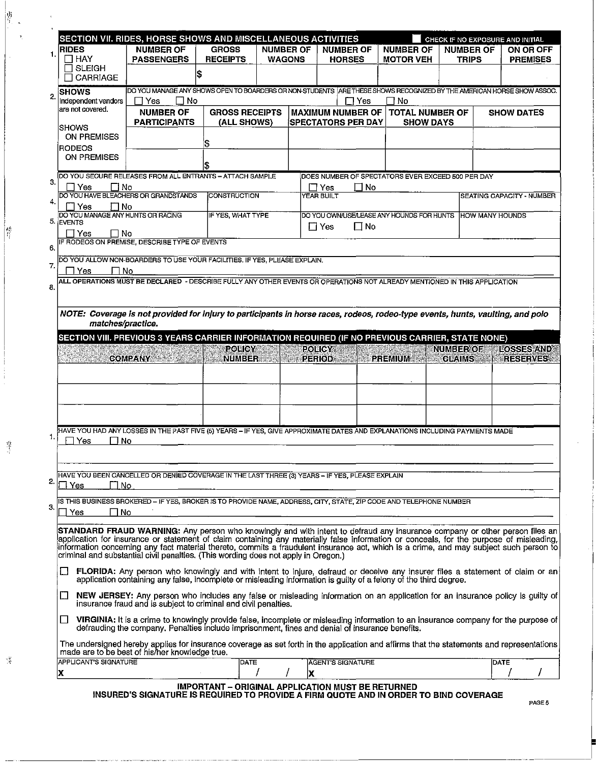|                                                       | SECTION VII. RIDES, HORSE SHOWS AND MISCELLANEOUS ACTIVITIES                                                                                                                                                                                             |                       |                  |   |                                                      |                        | CHECK IF NO EXPOSURE AND INITIAL  |                                      |  |
|-------------------------------------------------------|----------------------------------------------------------------------------------------------------------------------------------------------------------------------------------------------------------------------------------------------------------|-----------------------|------------------|---|------------------------------------------------------|------------------------|-----------------------------------|--------------------------------------|--|
| <b>RIDES</b>                                          | <b>NUMBER OF</b>                                                                                                                                                                                                                                         | <b>GROSS</b>          | <b>NUMBER OF</b> |   | <b>NUMBER OF</b>                                     | <b>NUMBER OF</b>       | <b>NUMBER OF</b>                  | ON OR OFF                            |  |
| $\Box$ HAY<br><b>SLEIGH</b>                           | <b>PASSENGERS</b>                                                                                                                                                                                                                                        | <b>RECEIPTS</b>       | <b>WAGONS</b>    |   | <b>HORSES</b>                                        | <b>MOTOR VEH</b>       | TRIPS                             | <b>PREMISES</b>                      |  |
| CARRIAGE                                              |                                                                                                                                                                                                                                                          | \$                    |                  |   |                                                      |                        |                                   |                                      |  |
| <b>SHOWS</b>                                          | DO YOU MANAGE ANY SHOWS OPEN TO BOARDERS OR NON-STUDENTS  ARE THESE SHOWS RECOGNIZED BY THE AMERICAN HORSE SHOW ASSOC.                                                                                                                                   |                       |                  |   |                                                      |                        |                                   |                                      |  |
| Independent vendors                                   | ΠNo<br>$\Box$ Yes                                                                                                                                                                                                                                        |                       |                  |   | コ Yes                                                | ∃ No                   |                                   |                                      |  |
| are not covered.                                      | <b>NUMBER OF</b>                                                                                                                                                                                                                                         | <b>GROSS RECEIPTS</b> |                  |   | <b>MAXIMUM NUMBER OF</b>                             | <b>TOTAL NUMBER OF</b> |                                   | <b>SHOW DATES</b>                    |  |
| <b>ISHOWS</b>                                         | <b>PARTICIPANTS</b>                                                                                                                                                                                                                                      | (ALL SHOWS)           |                  |   | <b>SPECTATORS PER DAY</b>                            | <b>SHOW DAYS</b>       |                                   |                                      |  |
| <b>ON PREMISES</b>                                    |                                                                                                                                                                                                                                                          |                       |                  |   |                                                      |                        |                                   |                                      |  |
| <b>RODEOS</b>                                         |                                                                                                                                                                                                                                                          | S                     |                  |   |                                                      |                        |                                   |                                      |  |
| <b>ON PREMISES</b>                                    |                                                                                                                                                                                                                                                          | \$                    |                  |   |                                                      |                        |                                   |                                      |  |
|                                                       | DO YOU SECURE RELEASES FROM ALL ENTRANTS - ATTACH SAMPLE                                                                                                                                                                                                 |                       |                  |   | DOES NUMBER OF SPECTATORS EVER EXCEED 500 PER DAY    |                        |                                   |                                      |  |
| 3.<br>Yes                                             | □ No                                                                                                                                                                                                                                                     |                       |                  |   | $\sqcap$ Yes<br>$\Box$ No                            |                        |                                   |                                      |  |
|                                                       | DO YOU HAVE BLEACHERS OR GRANDSTANDS                                                                                                                                                                                                                     | CONSTRUCTION          |                  |   | YEAR BUILT                                           |                        | SEATING CAPACITY - NUMBER         |                                      |  |
| $\Box$ No<br>Yes<br>DO YOU MANAGE ANY HUNTS OR RACING |                                                                                                                                                                                                                                                          | IF YES, WHAT TYPE     |                  |   | DO YOU OWNUSE/LEASE ANY HOUNDS FOR HUNTS             |                        |                                   |                                      |  |
| 5. EVENTS                                             |                                                                                                                                                                                                                                                          |                       |                  |   | $\Box$ Yes<br>$\Box$ No                              |                        | <b>HOW MANY HOUNDS</b>            |                                      |  |
| $\Box$ Yes<br>$\Box$ No                               |                                                                                                                                                                                                                                                          |                       |                  |   |                                                      |                        |                                   |                                      |  |
|                                                       | IF RODEOS ON PREMISE, DESCRIBE TYPE OF EVENTS                                                                                                                                                                                                            |                       |                  |   |                                                      |                        |                                   |                                      |  |
|                                                       | DO YOU ALLOW NON-BOARDERS TO USE YOUR FACILITIES. IF YES, PLEASE EXPLAIN.                                                                                                                                                                                |                       |                  |   |                                                      |                        |                                   |                                      |  |
| Yes                                                   | No                                                                                                                                                                                                                                                       |                       |                  |   |                                                      |                        |                                   |                                      |  |
|                                                       | ALL OPERATIONS MUST BE DECLARED - DESCRIBE FULLY ANY OTHER EVENTS OR OPERATIONS NOT ALREADY MENTIONED IN THIS APPLICATION                                                                                                                                |                       |                  |   |                                                      |                        |                                   |                                      |  |
|                                                       |                                                                                                                                                                                                                                                          |                       |                  |   |                                                      |                        |                                   |                                      |  |
|                                                       | NOTE: Coverage is not provided for injury to participants in horse races, rodeos, rodeo-type events, hunts, vaulting, and polo                                                                                                                           |                       |                  |   |                                                      |                        |                                   |                                      |  |
| matches/practice.                                     |                                                                                                                                                                                                                                                          |                       |                  |   |                                                      |                        |                                   |                                      |  |
|                                                       | SECTION VIII. PREVIOUS 3 YEARS CARRIER INFORMATION REQUIRED (IF NO PREVIOUS CARRIER, STATE NONE)                                                                                                                                                         |                       |                  |   |                                                      |                        |                                   |                                      |  |
|                                                       | COMPANY AND THE                                                                                                                                                                                                                                          | <b>POLICY</b>         |                  |   | <b>POLICY AND RESIDENT</b><br>NUMBER PERIODE PREMIUM |                        | <b>NUMBER OF</b><br><b>CLAIMS</b> | <b>LOSSES AND</b><br><b>RESERVES</b> |  |
|                                                       |                                                                                                                                                                                                                                                          |                       |                  |   |                                                      |                        |                                   |                                      |  |
|                                                       |                                                                                                                                                                                                                                                          |                       |                  |   |                                                      |                        |                                   |                                      |  |
|                                                       |                                                                                                                                                                                                                                                          |                       |                  |   |                                                      |                        |                                   |                                      |  |
|                                                       |                                                                                                                                                                                                                                                          |                       |                  |   |                                                      |                        |                                   |                                      |  |
|                                                       |                                                                                                                                                                                                                                                          |                       |                  |   |                                                      |                        |                                   |                                      |  |
|                                                       | HAVE YOU HAD ANY LOSSES IN THE PAST FIVE (5) YEARS – IF YES, GIVE APPROXIMATE DATES AND EXPLANATIONS INCLUDING PAYMENTS MADE                                                                                                                             |                       |                  |   |                                                      |                        |                                   |                                      |  |
| ΠNo<br>Yes                                            |                                                                                                                                                                                                                                                          |                       |                  |   |                                                      |                        |                                   |                                      |  |
|                                                       |                                                                                                                                                                                                                                                          |                       |                  |   |                                                      |                        |                                   |                                      |  |
|                                                       |                                                                                                                                                                                                                                                          |                       |                  |   |                                                      |                        |                                   |                                      |  |
| Yes                                                   | HAVE YOU BEEN CANCELLED OR DENIED COVERAGE IN THE LAST THREE (3) YEARS - IF YES, PLEASE EXPLAIN<br>l No                                                                                                                                                  |                       |                  |   |                                                      |                        |                                   |                                      |  |
|                                                       |                                                                                                                                                                                                                                                          |                       |                  |   |                                                      |                        |                                   |                                      |  |
|                                                       | IS THIS BUSINESS BROKERED – IF YES, BROKER IS TO PROVIDE NAME, ADDRESS, CITY, STATE, ZIP CODE AND TELEPHONE NUMBER                                                                                                                                       |                       |                  |   |                                                      |                        |                                   |                                      |  |
| ∏ No<br>Yes                                           |                                                                                                                                                                                                                                                          |                       |                  |   |                                                      |                        |                                   |                                      |  |
|                                                       | STANDARD FRAUD WARNING: Any person who knowingly and with intent to defraud any insurance company or other person files an                                                                                                                               |                       |                  |   |                                                      |                        |                                   |                                      |  |
|                                                       | application for insurance or statement of claim containing any materially false information or conceals, for the purpose of misleading,                                                                                                                  |                       |                  |   |                                                      |                        |                                   |                                      |  |
|                                                       | information concerning any fact material thereto, commits a fraudulent insurance act, which is a crime, and may subject such person to<br>criminal and substantial civil penalties. (This wording does not apply in Oregon.)                             |                       |                  |   |                                                      |                        |                                   |                                      |  |
|                                                       | <b>FLORIDA:</b> Any person who knowingly and with intent to injure, defraud or deceive any insurer files a statement of claim or an<br>application containing any false, incomplete or misleading information is guilty of a felony of the third degree. |                       |                  |   |                                                      |                        |                                   |                                      |  |
| ⊔                                                     | NEW JERSEY: Any person who includes any false or misleading information on an application for an insurance policy is guilty of<br>insurance fraud and is subject to criminal and civil penalties.                                                        |                       |                  |   |                                                      |                        |                                   |                                      |  |
| LI                                                    | VIRGINIA: It is a crime to knowingly provide false, incomplete or misleading information to an insurance company for the purpose of<br>defrauding the company. Penalties include imprisonment, fines and denial of insurance benefits.                   |                       |                  |   |                                                      |                        |                                   |                                      |  |
|                                                       | The undersigned hereby applies for insurance coverage as set forth in the application and affirms that the statements and representations<br>made are to be best of his/her knowledge true.                                                              |                       |                  |   |                                                      |                        |                                   |                                      |  |
| <b>APPLICANT'S SIGNATURE</b><br>lΧ                    |                                                                                                                                                                                                                                                          | DATE                  |                  | x | <b>AGENT'S SIGNATURE</b>                             |                        |                                   | DATE                                 |  |

 $\Gamma_{\rm c}$ 

 $\frac{p_{\rm T}^{\rm eq}}{\lambda}$ 

 $\mathcal{G}$ 

 $\begin{array}{c} \begin{array}{ccc} \mathbf{1} & \mathbf{1} & \mathbf{1} & \mathbf{1} \\ \mathbf{1} & \mathbf{1} & \mathbf{1} & \mathbf{1} \\ \mathbf{1} & \mathbf{1} & \mathbf{1} & \mathbf{1} \\ \mathbf{1} & \mathbf{1} & \mathbf{1} & \mathbf{1} \\ \mathbf{1} & \mathbf{1} & \mathbf{1} & \mathbf{1} \\ \mathbf{1} & \mathbf{1} & \mathbf{1} & \mathbf{1} \\ \mathbf{1} & \mathbf{1} & \mathbf{1} & \mathbf{1} \\ \mathbf{1} & \mathbf$ 

 $\overline{a}$ 

INSURED'S SIGNATURE IS REQUIRED TO PROVIDE A FIRM QUOTE AND IN ORDER TO BIND COVERAGE PAGE 5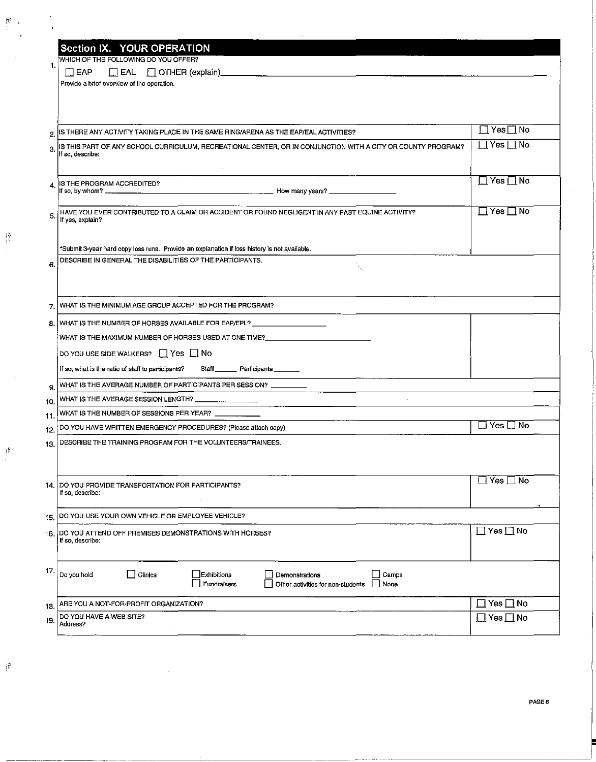|       | <b>Section IX. YOUR OPERATION</b>                                                                                          |                      |
|-------|----------------------------------------------------------------------------------------------------------------------------|----------------------|
|       | WHICH OF THE FOLLOWING DO YOU OFFER?                                                                                       |                      |
| 1.    | EAP<br>$\Box$ EAL $\Box$ OTHER (explain)                                                                                   |                      |
|       | Provide a brief overview of the operation.                                                                                 |                      |
|       |                                                                                                                            |                      |
|       |                                                                                                                            |                      |
| 2     | IS THERE ANY ACTIVITY TAKING PLACE IN THE SAME RING/ARENA AS THE EAP/EAL ACTIVITIES?                                       | l TYes∏ No           |
|       | IS THIS PART OF ANY SCHOOL CURRICULUM, RECREATIONAL CENTER, OR IN CONJUNCTION WITH A CITY OR COUNTY PROGRAM?               | ∐ Yes ⊡ No           |
| 3.    | lf so, describe:                                                                                                           |                      |
|       |                                                                                                                            |                      |
|       | IS THE PROGRAM ACCREDITED?                                                                                                 | $\Box$ Yes $\Box$ No |
|       |                                                                                                                            |                      |
| 5.    | HAVE YOU EVER CONTRIBUTED TO A CLAIM OR ACCIDENT OR FOUND NEGLIGENT IN ANY PAST EQUINE ACTIVITY?                           | ∐ Yes ⊟ No           |
|       | If yes, explain?                                                                                                           |                      |
|       |                                                                                                                            |                      |
|       | "Submit 3-year hard copy loss runs. Provide an explanation if loss history is not available.                               |                      |
| 6.    | DESCRIBE IN GENERAL THE DISABILITIES OF THE PARTICIPANTS.                                                                  |                      |
|       |                                                                                                                            |                      |
|       |                                                                                                                            |                      |
| 7.    | WHAT IS THE MINIMUM AGE GROUP ACCEPTED FOR THE PROGRAM?                                                                    |                      |
| 8.    | WHAT IS THE NUMBER OF HORSES AVAILABLE FOR EAP/EPL? ____________________________                                           |                      |
|       | WHAT IS THE MAXIMUM NUMBER OF HORSES USED AT ONE TIME?__________________________                                           |                      |
|       | DO YOU USE SIDE WALKERS? $\Box$ Yes $\Box$ No                                                                              |                      |
|       | If so, what is the ratio of staff to participants?<br>Staff Participants                                                   |                      |
| 9.    | WHAT IS THE AVERAGE NUMBER OF PARTICIPANTS PER SESSION? _________<br><u> 1990 - John Harry Barn, mars a</u>                |                      |
| 10.   | WHAT IS THE AVERAGE SESSION LENGTH? _                                                                                      |                      |
| 11,   | WHAT IS THE NUMBER OF SESSIONS PER YEAR? $\begin{array}{ c c }\hline \text{13.14}\text{ } & \text{2.13}\hline \end{array}$ |                      |
| 12.   | DO YOU HAVE WRITTEN EMERGENCY PROCEDURES? (Please attach copy)                                                             | $\Box$ Yes $\Box$ No |
| 13.   | DESCRIBE THE TRAINING PROGRAM FOR THE VOLUNTEERS/TRAINEES.                                                                 |                      |
|       |                                                                                                                            |                      |
|       |                                                                                                                            |                      |
| 14. I | DO YOU PROVIDE TRANSPORTATION FOR PARTICIPANTS?                                                                            | ⊡ Yes □ No           |
|       | If so, describe:                                                                                                           |                      |
| 15.   | DO YOU USE YOUR OWN VEHICLE OR EMPLOYEE VEHICLE?                                                                           |                      |
| 16.   | DO YOU ATTEND OFF PREMISES DEMONSTRATIONS WITH HORSES?                                                                     | $\Box$ Yes $\Box$ No |
|       | If so, describe:                                                                                                           |                      |
|       |                                                                                                                            |                      |
| 17.   | Do you hold<br>Clinics<br>Exhibitions<br>Camps<br>Demonstrations                                                           |                      |
|       | Fundraisers<br>Other activities for non-students<br>None                                                                   |                      |
| 18.   | ARE YOU A NOT-FOR-PROFIT ORGANIZATION?                                                                                     | $\Box$ Yes $\Box$ No |
| 19.   | DO YOU HAVE A WEB SITE?                                                                                                    | $\Box$ Yes $\Box$ No |
|       | Address?                                                                                                                   |                      |
|       |                                                                                                                            |                      |

ومساجر مستحدثين سيرين

 $\frac{1}{2}$ 

 $\left\{\right\}$ 

 $\mathcal{V}$ 

 $\frac{1}{3} \frac{3}{3}$ 

 $\bar{u}$ 

PAGE 6

 $\bar{z}$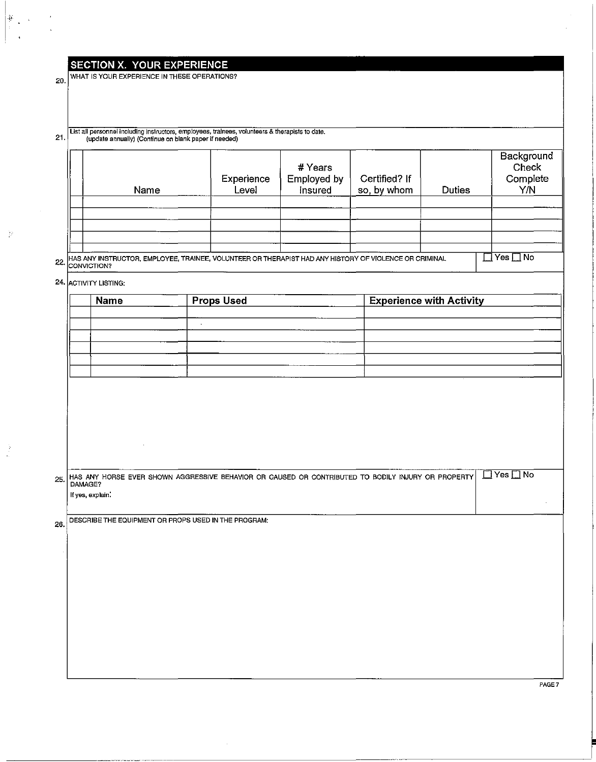## SECTION X. YOUR EXPERIENCE

20. WHAT IS YOUR EXPERIENCE IN THESE OPERATIONS?

### list all personnel including instructors, employees, trainees, volunteers & therapists to date. 21 (update annually) (ContInue on blank paper if needed)

|  | Name                                                                                                                             | Experience<br>Level | # Years<br>Employed by<br>Insured | Certified? If<br>so, by whom | <b>Duties</b> | Background<br>Check<br>Complete<br>Y/N |
|--|----------------------------------------------------------------------------------------------------------------------------------|---------------------|-----------------------------------|------------------------------|---------------|----------------------------------------|
|  |                                                                                                                                  |                     |                                   |                              |               |                                        |
|  |                                                                                                                                  |                     |                                   |                              |               |                                        |
|  | 22. HAS ANY INSTRUCTOR, EMPLOYEE, TRAINEE, VOLUNTEER OR THERAPIST HAD ANY HISTORY OF VIOLENCE OR CRIMINAL<br><b>ICONVICTION?</b> |                     |                                   |                              |               | $Yes \Box No$                          |

24. ACTIVITY LISTING:

| <b>Name</b> | <b>Props Used</b> | <b>Experience with Activity</b> |
|-------------|-------------------|---------------------------------|
|             |                   |                                 |
|             |                   |                                 |
|             |                   |                                 |
|             |                   |                                 |
|             |                   |                                 |
|             |                   |                                 |

 $\frac{1}{2}$ 

 $\tilde{\phi}$ 

 $\mathcal{V}$ 

---------"-------,,------

HAS ANY HORSE EVER SHOWN AGGRESSIVE BEHAVIOR OR CAUSED OR CONTRIBUTED TO BODILY INJURY OR PROPERTY **DYes** No If yes, explain.

26. DESCRIBE THE EQUIPMENT OR PROPS USED IN THE PROGRAM:

PAGE 7

 $\overline{\phantom{a}}$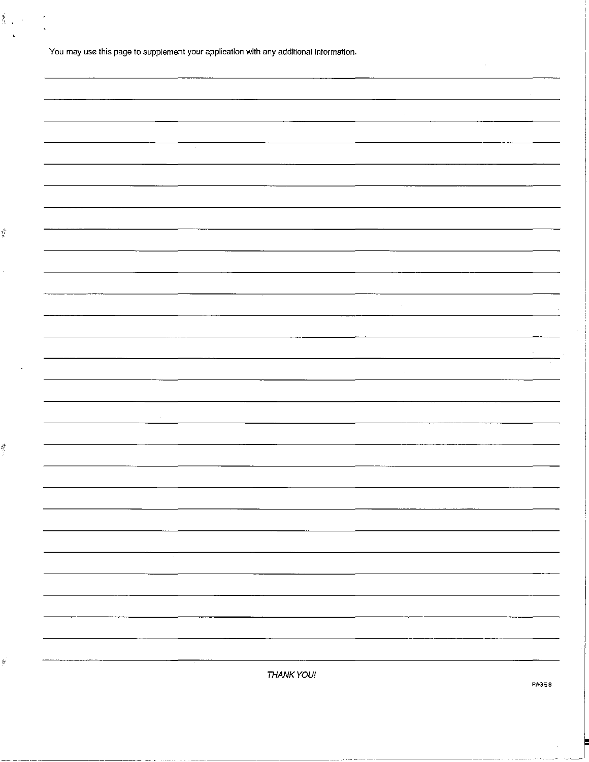| You may use this page to supplement your application with any additional information. |  |
|---------------------------------------------------------------------------------------|--|
|---------------------------------------------------------------------------------------|--|

 $\tilde{\mathcal{F}}$  $\ddot{\phantom{a}}$ 

ığ.

Ķ,

ý.

 $\sim$  $\sim$   $\sim$ THANKYOUI **PAGES** 

 $\bar{a}$